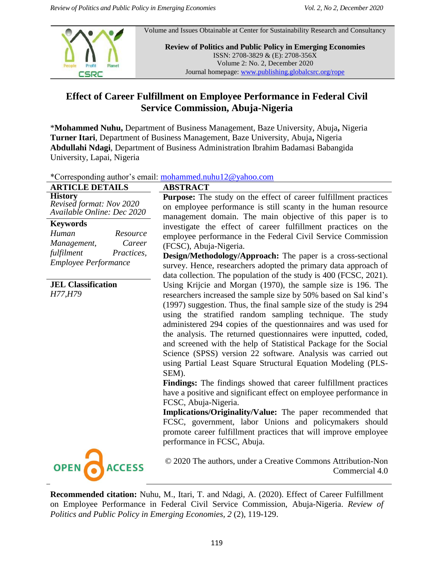

Volume and Issues Obtainable at Center for Sustainability Research and Consultancy

**Review of Politics and Public Policy in Emerging Economies** ISSN: 2708-3829 & (E): 2708-356X Volume 2: No. 2, December 2020 Journal homepage: www.publishing.globalcsrc.org/rope

# **Effect of Career Fulfillment on Employee Performance in Federal Civil Service Commission, Abuja-Nigeria**

\***Mohammed Nuhu,** Department of Business Management, Baze University, Abuja**,** Nigeria **Turner Itari**, Department of Business Management, Baze University, Abuja**,** Nigeria **Abdullahi Ndagi**, Department of Business Administration Ibrahim Badamasi Babangida University, Lapai, Nigeria

| *Corresponding author's email: mohammed.nuhu12@yahoo.com |  |  |
|----------------------------------------------------------|--|--|
|                                                          |  |  |

| <b>ARTICLE DETAILS</b>                                                                                                   | <b>ABSTRACT</b>                                                                                                                                                                                                                                                                                                                                                                                                                                                                                                                                                                                                                                                                                                                                                                                                                                                                                                                                                                                                  |
|--------------------------------------------------------------------------------------------------------------------------|------------------------------------------------------------------------------------------------------------------------------------------------------------------------------------------------------------------------------------------------------------------------------------------------------------------------------------------------------------------------------------------------------------------------------------------------------------------------------------------------------------------------------------------------------------------------------------------------------------------------------------------------------------------------------------------------------------------------------------------------------------------------------------------------------------------------------------------------------------------------------------------------------------------------------------------------------------------------------------------------------------------|
| <b>History</b><br>Revised format: Nov 2020                                                                               | Purpose: The study on the effect of career fulfillment practices                                                                                                                                                                                                                                                                                                                                                                                                                                                                                                                                                                                                                                                                                                                                                                                                                                                                                                                                                 |
| Available Online: Dec 2020                                                                                               | on employee performance is still scanty in the human resource<br>management domain. The main objective of this paper is to                                                                                                                                                                                                                                                                                                                                                                                                                                                                                                                                                                                                                                                                                                                                                                                                                                                                                       |
| <b>Keywords</b><br>Human<br>Resource<br>Career<br>Management,<br>fulfilment<br>Practices,<br><b>Employee Performance</b> | investigate the effect of career fulfillment practices on the<br>employee performance in the Federal Civil Service Commission<br>(FCSC), Abuja-Nigeria.<br><b>Design/Methodology/Approach:</b> The paper is a cross-sectional<br>survey. Hence, researchers adopted the primary data approach of<br>data collection. The population of the study is 400 (FCSC, 2021).                                                                                                                                                                                                                                                                                                                                                                                                                                                                                                                                                                                                                                            |
| <b>JEL Classification</b><br>H77, H79                                                                                    | Using Krijcie and Morgan (1970), the sample size is 196. The<br>researchers increased the sample size by 50% based on Sal kind's<br>(1997) suggestion. Thus, the final sample size of the study is 294<br>using the stratified random sampling technique. The study<br>administered 294 copies of the questionnaires and was used for<br>the analysis. The returned questionnaires were inputted, coded,<br>and screened with the help of Statistical Package for the Social<br>Science (SPSS) version 22 software. Analysis was carried out<br>using Partial Least Square Structural Equation Modeling (PLS-<br>SEM).<br>Findings: The findings showed that career fulfillment practices<br>have a positive and significant effect on employee performance in<br>FCSC, Abuja-Nigeria.<br>Implications/Originality/Value: The paper recommended that<br>FCSC, government, labor Unions and policymakers should<br>promote career fulfillment practices that will improve employee<br>performance in FCSC, Abuja. |
| <b>OPEN</b><br><b>ACCESS</b>                                                                                             | © 2020 The authors, under a Creative Commons Attribution-Non<br>Commercial 4.0                                                                                                                                                                                                                                                                                                                                                                                                                                                                                                                                                                                                                                                                                                                                                                                                                                                                                                                                   |

**Recommended citation:** Nuhu, M., Itari, T. and Ndagi, A. (2020). Effect of Career Fulfillment on Employee Performance in Federal Civil Service Commission, Abuja-Nigeria. *Review of Politics and Public Policy in Emerging Economies, 2* (2), 119-129.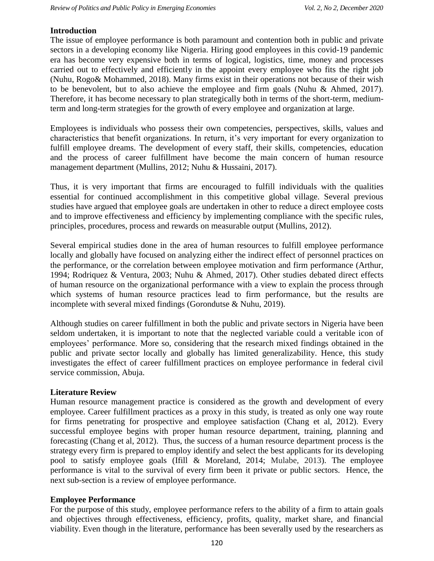### **Introduction**

The issue of employee performance is both paramount and contention both in public and private sectors in a developing economy like Nigeria. Hiring good employees in this covid-19 pandemic era has become very expensive both in terms of logical, logistics, time, money and processes carried out to effectively and efficiently in the appoint every employee who fits the right job (Nuhu, Rogo& Mohammed, 2018). Many firms exist in their operations not because of their wish to be benevolent, but to also achieve the employee and firm goals (Nuhu & Ahmed, 2017). Therefore, it has become necessary to plan strategically both in terms of the short-term, mediumterm and long-term strategies for the growth of every employee and organization at large.

Employees is individuals who possess their own competencies, perspectives, skills, values and characteristics that benefit organizations. In return, it's very important for every organization to fulfill employee dreams. The development of every staff, their skills, competencies, education and the process of career fulfillment have become the main concern of human resource management department (Mullins, 2012; Nuhu & Hussaini, 2017).

Thus, it is very important that firms are encouraged to fulfill individuals with the qualities essential for continued accomplishment in this competitive global village. Several previous studies have argued that employee goals are undertaken in other to reduce a direct employee costs and to improve effectiveness and efficiency by implementing compliance with the specific rules, principles, procedures, process and rewards on measurable output (Mullins, 2012).

Several empirical studies done in the area of human resources to fulfill employee performance locally and globally have focused on analyzing either the indirect effect of personnel practices on the performance, or the correlation between employee motivation and firm performance (Arthur, 1994; Rodriquez & Ventura, 2003; Nuhu & Ahmed, 2017). Other studies debated direct effects of human resource on the organizational performance with a view to explain the process through which systems of human resource practices lead to firm performance, but the results are incomplete with several mixed findings (Gorondutse & Nuhu, 2019).

Although studies on career fulfillment in both the public and private sectors in Nigeria have been seldom undertaken, it is important to note that the neglected variable could a veritable icon of employees' performance. More so, considering that the research mixed findings obtained in the public and private sector locally and globally has limited generalizability. Hence, this study investigates the effect of career fulfillment practices on employee performance in federal civil service commission, Abuja.

### **Literature Review**

Human resource management practice is considered as the growth and development of every employee. Career fulfillment practices as a proxy in this study, is treated as only one way route for firms penetrating for prospective and employee satisfaction (Chang et al, 2012). Every successful employee begins with proper human resource department, training, planning and forecasting (Chang et al, 2012). Thus, the success of a human resource department process is the strategy every firm is prepared to employ identify and select the best applicants for its developing pool to satisfy employee goals (Ifill & Moreland, 2014; Mulabe, 2013). The employee performance is vital to the survival of every firm been it private or public sectors. Hence, the next sub-section is a review of employee performance.

### **Employee Performance**

For the purpose of this study, employee performance refers to the ability of a firm to attain goals and objectives through effectiveness, efficiency, profits, quality, market share, and financial viability. Even though in the literature, performance has been severally used by the researchers as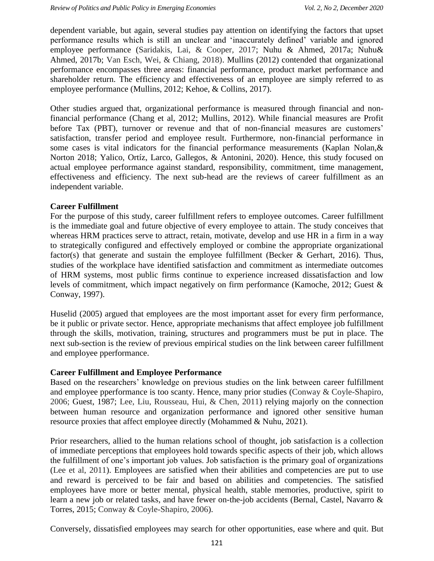dependent variable, but again, several studies pay attention on identifying the factors that upset performance results which is still an unclear and "inaccurately defined" variable and ignored employee performance (Saridakis, Lai, & Cooper, 2017; Nuhu & Ahmed, 2017a; Nuhu& Ahmed, 2017b; Van Esch, Wei, & Chiang, 2018). Mullins (2012) contended that organizational performance encompasses three areas: financial performance, product market performance and shareholder return. The efficiency and effectiveness of an employee are simply referred to as employee performance (Mullins, 2012; Kehoe, & Collins, 2017).

Other studies argued that, organizational performance is measured through financial and nonfinancial performance (Chang et al, 2012; Mullins, 2012). While financial measures are Profit before Tax (PBT), turnover or revenue and that of non-financial measures are customers' satisfaction, transfer period and employee result. Furthermore, non-financial performance in some cases is vital indicators for the financial performance measurements (Kaplan Nolan,& Norton 2018; Yalico, Ortíz, Larco, Gallegos, & Antonini, 2020). Hence, this study focused on actual employee performance against standard, responsibility, commitment, time management, effectiveness and efficiency. The next sub-head are the reviews of career fulfillment as an independent variable.

## **Career Fulfillment**

For the purpose of this study, career fulfillment refers to employee outcomes. Career fulfillment is the immediate goal and future objective of every employee to attain. The study conceives that whereas HRM practices serve to attract, retain, motivate, develop and use HR in a firm in a way to strategically configured and effectively employed or combine the appropriate organizational factor(s) that generate and sustain the employee fulfillment (Becker & Gerhart, 2016). Thus, studies of the workplace have identified satisfaction and commitment as intermediate outcomes of HRM systems, most public firms continue to experience increased dissatisfaction and low levels of commitment, which impact negatively on firm performance (Kamoche, 2012; Guest & Conway, 1997).

Huselid (2005) argued that employees are the most important asset for every firm performance, be it public or private sector. Hence, appropriate mechanisms that affect employee job fulfillment through the skills, motivation, training, structures and programmers must be put in place. The next sub-section is the review of previous empirical studies on the link between career fulfillment and employee pperformance.

### **Career Fulfillment and Employee Performance**

Based on the researchers' knowledge on previous studies on the link between career fulfillment and employee pperformance is too scanty. Hence, many prior studies (Conway & Coyle-Shapiro, 2006; Guest, 1987; Lee, Liu, Rousseau, Hui, & Chen, 2011) relying majorly on the connection between human resource and organization performance and ignored other sensitive human resource proxies that affect employee directly (Mohammed & Nuhu, 2021).

Prior researchers, allied to the human relations school of thought, job satisfaction is a collection of immediate perceptions that employees hold towards specific aspects of their job, which allows the fulfillment of one"s important job values. Job satisfaction is the primary goal of organizations (Lee et al, 2011). Employees are satisfied when their abilities and competencies are put to use and reward is perceived to be fair and based on abilities and competencies. The satisfied employees have more or better mental, physical health, stable memories, productive, spirit to learn a new job or related tasks, and have fewer on-the-job accidents (Bernal, Castel, Navarro & Torres, 2015; Conway & Coyle-Shapiro, 2006).

Conversely, dissatisfied employees may search for other opportunities, ease where and quit. But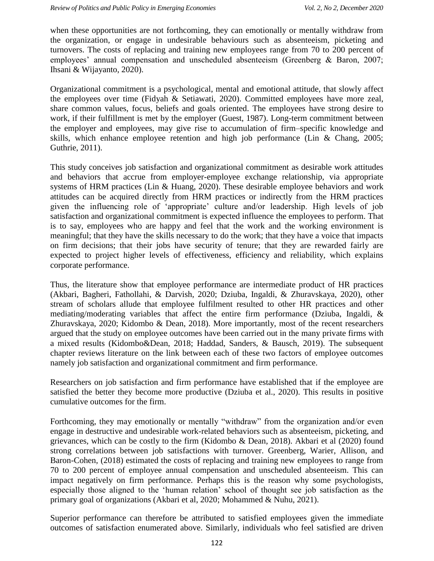when these opportunities are not forthcoming, they can emotionally or mentally withdraw from the organization, or engage in undesirable behaviours such as absenteeism, picketing and turnovers. The costs of replacing and training new employees range from 70 to 200 percent of employees" annual compensation and unscheduled absenteeism (Greenberg & Baron, 2007; Ihsani & Wijayanto, 2020).

Organizational commitment is a psychological, mental and emotional attitude, that slowly affect the employees over time (Fidyah & Setiawati, 2020). Committed employees have more zeal, share common values, focus, beliefs and goals oriented. The employees have strong desire to work, if their fulfillment is met by the employer (Guest, 1987). Long-term commitment between the employer and employees, may give rise to accumulation of firm–specific knowledge and skills, which enhance employee retention and high job performance (Lin & Chang, 2005; Guthrie, 2011).

This study conceives job satisfaction and organizational commitment as desirable work attitudes and behaviors that accrue from employer-employee exchange relationship, via appropriate systems of HRM practices (Lin & Huang, 2020). These desirable employee behaviors and work attitudes can be acquired directly from HRM practices or indirectly from the HRM practices given the influencing role of "appropriate" culture and/or leadership. High levels of job satisfaction and organizational commitment is expected influence the employees to perform. That is to say, employees who are happy and feel that the work and the working environment is meaningful; that they have the skills necessary to do the work; that they have a voice that impacts on firm decisions; that their jobs have security of tenure; that they are rewarded fairly are expected to project higher levels of effectiveness, efficiency and reliability, which explains corporate performance.

Thus, the literature show that employee performance are intermediate product of HR practices (Akbari, Bagheri, Fathollahi, & Darvish, 2020; Dziuba, Ingaldi, & Zhuravskaya, 2020), other stream of scholars allude that employee fulfilment resulted to other HR practices and other mediating/moderating variables that affect the entire firm performance (Dziuba, Ingaldi, & Zhuravskaya, 2020; Kidombo & Dean, 2018). More importantly, most of the recent researchers argued that the study on employee outcomes have been carried out in the many private firms with a mixed results (Kidombo&Dean, 2018; Haddad, Sanders, & Bausch, 2019). The subsequent chapter reviews literature on the link between each of these two factors of employee outcomes namely job satisfaction and organizational commitment and firm performance.

Researchers on job satisfaction and firm performance have established that if the employee are satisfied the better they become more productive (Dziuba et al., 2020). This results in positive cumulative outcomes for the firm.

Forthcoming, they may emotionally or mentally "withdraw" from the organization and/or even engage in destructive and undesirable work-related behaviors such as absenteeism, picketing, and grievances, which can be costly to the firm (Kidombo & Dean, 2018). Akbari et al (2020) found strong correlations between job satisfactions with turnover. Greenberg, Warier, Allison, and Baron-Cohen, (2018) estimated the costs of replacing and training new employees to range from 70 to 200 percent of employee annual compensation and unscheduled absenteeism. This can impact negatively on firm performance. Perhaps this is the reason why some psychologists, especially those aligned to the "human relation" school of thought see job satisfaction as the primary goal of organizations (Akbari et al, 2020; Mohammed & Nuhu, 2021).

Superior performance can therefore be attributed to satisfied employees given the immediate outcomes of satisfaction enumerated above. Similarly, individuals who feel satisfied are driven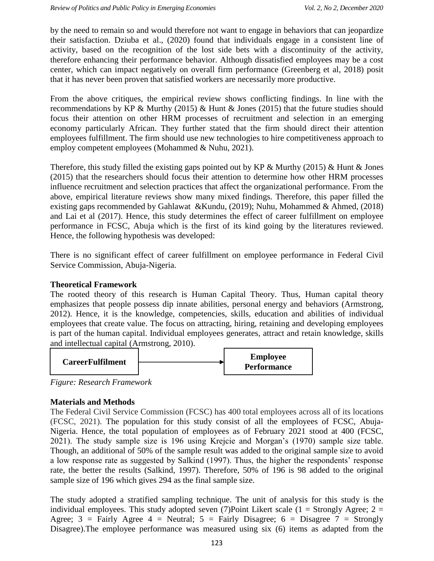by the need to remain so and would therefore not want to engage in behaviors that can jeopardize their satisfaction. Dziuba et al., (2020) found that individuals engage in a consistent line of activity, based on the recognition of the lost side bets with a discontinuity of the activity, therefore enhancing their performance behavior. Although dissatisfied employees may be a cost center, which can impact negatively on overall firm performance (Greenberg et al, 2018) posit that it has never been proven that satisfied workers are necessarily more productive.

From the above critiques, the empirical review shows conflicting findings. In line with the recommendations by KP & Murthy (2015) & Hunt & Jones (2015) that the future studies should focus their attention on other HRM processes of recruitment and selection in an emerging economy particularly African. They further stated that the firm should direct their attention employees fulfillment. The firm should use new technologies to hire competitiveness approach to employ competent employees (Mohammed & Nuhu, 2021).

Therefore, this study filled the existing gaps pointed out by KP  $\&$  Murthy (2015)  $\&$  Hunt  $\&$  Jones (2015) that the researchers should focus their attention to determine how other HRM processes influence recruitment and selection practices that affect the organizational performance. From the above, empirical literature reviews show many mixed findings. Therefore, this paper filled the existing gaps recommended by Gahlawat &Kundu, (2019); Nuhu, Mohammed & Ahmed, (2018) and Lai et al (2017). Hence, this study determines the effect of career fulfillment on employee performance in FCSC, Abuja which is the first of its kind going by the literatures reviewed. Hence, the following hypothesis was developed:

There is no significant effect of career fulfillment on employee performance in Federal Civil Service Commission, Abuja-Nigeria.

# **Theoretical Framework**

The rooted theory of this research is Human Capital Theory. Thus, Human capital theory emphasizes that people possess dip innate abilities, personal energy and behaviors (Armstrong, 2012). Hence, it is the knowledge, competencies, skills, education and abilities of individual employees that create value. The focus on attracting, hiring, retaining and developing employees is part of the human capital. Individual employees generates, attract and retain knowledge, skills and intellectual capital (Armstrong, 2010).



*Figure: Research Framework*

# **Materials and Methods**

The Federal Civil Service Commission (FCSC) has 400 total employees across all of its locations (FCSC, 2021). The population for this study consist of all the employees of FCSC, Abuja-Nigeria. Hence, the total population of employees as of February 2021 stood at 400 (FCSC, 2021). The study sample size is 196 using Krejcie and Morgan"s (1970) sample size table. Though, an additional of 50% of the sample result was added to the original sample size to avoid a low response rate as suggested by Salkind (1997). Thus, the higher the respondents" response rate, the better the results (Salkind, 1997). Therefore, 50% of 196 is 98 added to the original sample size of 196 which gives 294 as the final sample size.

The study adopted a stratified sampling technique. The unit of analysis for this study is the individual employees. This study adopted seven (7)Point Likert scale (1 = Strongly Agree; 2 = Agree;  $3$  = Fairly Agree 4 = Neutral;  $5$  = Fairly Disagree;  $6$  = Disagree 7 = Strongly Disagree).The employee performance was measured using six (6) items as adapted from the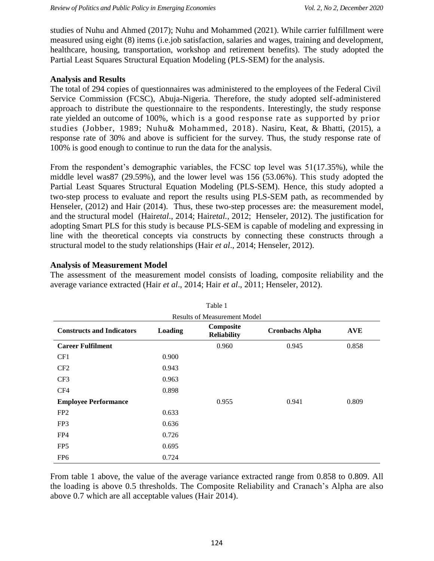studies of Nuhu and Ahmed (2017); Nuhu and Mohammed (2021). While carrier fulfillment were measured using eight (8) items (i.e.job satisfaction, salaries and wages, training and development, healthcare, housing, transportation, workshop and retirement benefits). The study adopted the Partial Least Squares Structural Equation Modeling (PLS-SEM) for the analysis.

### **Analysis and Results**

The total of 294 copies of questionnaires was administered to the employees of the Federal Civil Service Commission (FCSC), Abuja-Nigeria. Therefore, the study adopted self-administered approach to distribute the questionnaire to the respondents. Interestingly, the study response rate yielded an outcome of 100%, which is a good response rate as supported by prior studies (Jobber, 1989; Nuhu& Mohammed, 2018). Nasiru, Keat, & Bhatti, (2015), a response rate of 30% and above is sufficient for the survey. Thus, the study response rate of 100% is good enough to continue to run the data for the analysis.

From the respondent's demographic variables, the FCSC top level was 51(17.35%), while the middle level was87 (29.59%), and the lower level was 156 (53.06%). This study adopted the Partial Least Squares Structural Equation Modeling (PLS-SEM). Hence, this study adopted a two-step process to evaluate and report the results using PLS-SEM path, as recommended by Henseler, (2012) and Hair (2014). Thus, these two-step processes are: the measurement model, and the structural model (Hair*etal*., 2014; Hair*etal.,* 2012; Henseler*,* 2012). The justification for adopting Smart PLS for this study is because PLS-SEM is capable of modeling and expressing in line with the theoretical concepts via constructs by connecting these constructs through a structural model to the study relationships (Hair *et al*., 2014; Henseler*,* 2012).

### **Analysis of Measurement Model**

The assessment of the measurement model consists of loading, composite reliability and the average variance extracted (Hair *et al*., 2014; Hair *et al*., 2011; Henseler, 2012).

| Table 1                             |         |                                 |                        |            |  |  |
|-------------------------------------|---------|---------------------------------|------------------------|------------|--|--|
| <b>Results of Measurement Model</b> |         |                                 |                        |            |  |  |
| <b>Constructs and Indicators</b>    | Loading | Composite<br><b>Reliability</b> | <b>Cronbachs Alpha</b> | <b>AVE</b> |  |  |
| <b>Career Fulfilment</b>            |         | 0.960                           | 0.945                  | 0.858      |  |  |
| CF1                                 | 0.900   |                                 |                        |            |  |  |
| CF <sub>2</sub>                     | 0.943   |                                 |                        |            |  |  |
| CF <sub>3</sub>                     | 0.963   |                                 |                        |            |  |  |
| CF4                                 | 0.898   |                                 |                        |            |  |  |
| <b>Employee Performance</b>         |         | 0.955                           | 0.941                  | 0.809      |  |  |
| FP <sub>2</sub>                     | 0.633   |                                 |                        |            |  |  |
| FP3                                 | 0.636   |                                 |                        |            |  |  |
| FP4                                 | 0.726   |                                 |                        |            |  |  |
| FP <sub>5</sub>                     | 0.695   |                                 |                        |            |  |  |
| FP <sub>6</sub>                     | 0.724   |                                 |                        |            |  |  |

From table 1 above, the value of the average variance extracted range from 0.858 to 0.809. All the loading is above 0.5 thresholds. The Composite Reliability and Cranach"s Alpha are also above 0.7 which are all acceptable values (Hair 2014).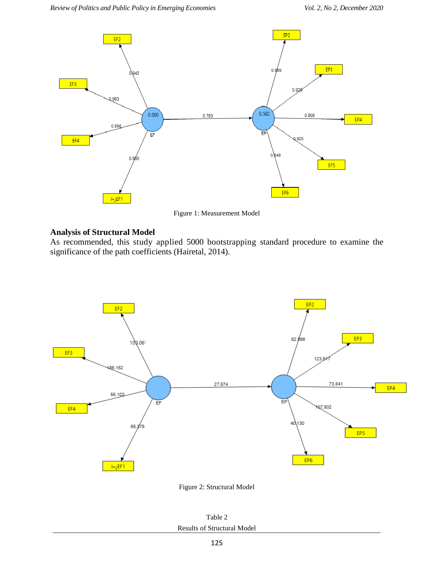

Figure 1: Measurement Model

# **Analysis of Structural Model**

As recommended, this study applied 5000 bootstrapping standard procedure to examine the significance of the path coefficients (Hairetal, 2014).





Table 2 Results of Structural Model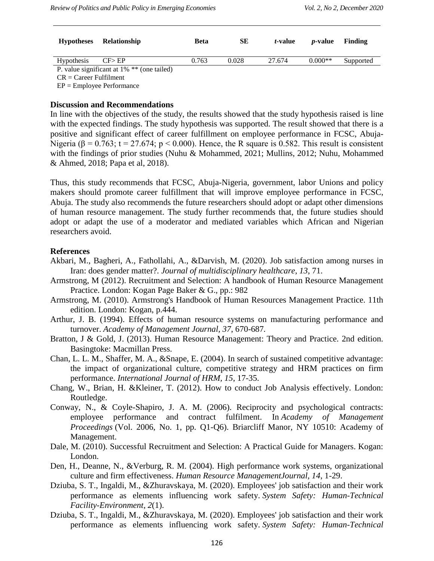| <b>Hypotheses</b>                             | Relationship | <b>Beta</b> | SЕ    | <i>t</i> -value | <i>p</i> -value | Finding   |
|-----------------------------------------------|--------------|-------------|-------|-----------------|-----------------|-----------|
| <b>Hypothesis</b>                             | CF > EP      | 0.763       | 0.028 | 27.674          | $0.000**$       | Supported |
| P. value significant at $1\%$ ** (one tailed) |              |             |       |                 |                 |           |
| $CR = Career$ Fulfilment                      |              |             |       |                 |                 |           |

EP = Employee Performance

### **Discussion and Recommendations**

In line with the objectives of the study, the results showed that the study hypothesis raised is line with the expected findings. The study hypothesis was supported. The result showed that there is a positive and significant effect of career fulfillment on employee performance in FCSC, Abuja-Nigeria ( $\beta$  = 0.763; t = 27.674; p < 0.000). Hence, the R square is 0.582. This result is consistent with the findings of prior studies (Nuhu & Mohammed, 2021; Mullins, 2012; Nuhu, Mohammed & Ahmed, 2018; Papa et al, 2018).

Thus, this study recommends that FCSC, Abuja-Nigeria, government, labor Unions and policy makers should promote career fulfillment that will improve employee performance in FCSC, Abuja. The study also recommends the future researchers should adopt or adapt other dimensions of human resource management. The study further recommends that, the future studies should adopt or adapt the use of a moderator and mediated variables which African and Nigerian researchers avoid.

### **References**

- Akbari, M., Bagheri, A., Fathollahi, A., &Darvish, M. (2020). Job satisfaction among nurses in Iran: does gender matter?. *Journal of multidisciplinary healthcare*, *13*, 71.
- Armstrong, M (2012). Recruitment and Selection: A handbook of Human Resource Management Practice. London: Kogan Page Baker & G., pp.: 982
- Armstrong, M. (2010). Armstrong's Handbook of Human Resources Management Practice. 11th edition. London: Kogan, p.444.
- Arthur, J. B. (1994). Effects of human resource systems on manufacturing performance and turnover. *Academy of Management Journal, 37*, 670-687*.*
- Bratton, J & Gold, J. (2013). Human Resource Management: Theory and Practice. 2nd edition. Basingtoke: Macmillan Press.
- Chan, L. L. M., Shaffer, M. A., &Snape, E. (2004). In search of sustained competitive advantage: the impact of organizational culture, competitive strategy and HRM practices on firm performance. *International Journal of HRM, 15*, 17-35.
- Chang, W., Brian, H. &Kleiner, T. (2012). How to conduct Job Analysis effectively. London: Routledge.
- Conway, N., & Coyle-Shapiro, J. A. M. (2006). Reciprocity and psychological contracts: employee performance and contract fulfilment. In *Academy of Management Proceedings* (Vol. 2006, No. 1, pp. Q1-Q6). Briarcliff Manor, NY 10510: Academy of Management.
- Dale, M. (2010). Successful Recruitment and Selection: A Practical Guide for Managers. Kogan: London.
- Den, H., Deanne, N., &Verburg, R. M. (2004). High performance work systems, organizational culture and firm effectiveness. *Human Resource ManagementJournal, 14*, 1-29.
- Dziuba, S. T., Ingaldi, M., &Zhuravskaya, M. (2020). Employees' job satisfaction and their work performance as elements influencing work safety. *System Safety: Human-Technical Facility-Environment*, *2*(1).
- Dziuba, S. T., Ingaldi, M., &Zhuravskaya, M. (2020). Employees' job satisfaction and their work performance as elements influencing work safety. *System Safety: Human-Technical*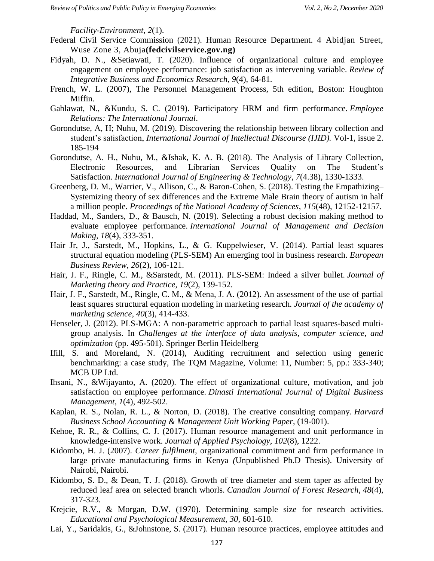*Facility-Environment*, *2*(1).

- Federal Civil Service Commission (2021). Human Resource Department. 4 Abidjan Street, Wuse Zone 3, Abuja**(fedcivilservice.gov.ng)**
- Fidyah, D. N., &Setiawati, T. (2020). Influence of organizational culture and employee engagement on employee performance: job satisfaction as intervening variable. *Review of Integrative Business and Economics Research*, *9*(4), 64-81.
- French, W. L. (2007), The Personnel Management Process, 5th edition, Boston: Houghton Miffin.
- Gahlawat, N., &Kundu, S. C. (2019). Participatory HRM and firm performance. *Employee Relations: The International Journal*.
- Gorondutse, A, H; Nuhu, M. (2019). Discovering the relationship between library collection and student"s satisfaction, *International Journal of Intellectual Discourse (IJID).* Vol-1, issue 2. 185-194
- Gorondutse, A. H., Nuhu, M., &Ishak, K. A. B. (2018). The Analysis of Library Collection, Electronic Resources, and Librarian Services Quality on The Student"s Satisfaction. *International Journal of Engineering & Technology*, *7*(4.38), 1330-1333.
- Greenberg, D. M., Warrier, V., Allison, C., & Baron-Cohen, S. (2018). Testing the Empathizing– Systemizing theory of sex differences and the Extreme Male Brain theory of autism in half a million people. *Proceedings of the National Academy of Sciences*, *115*(48), 12152-12157.
- Haddad, M., Sanders, D., & Bausch, N. (2019). Selecting a robust decision making method to evaluate employee performance. *International Journal of Management and Decision Making*, *18*(4), 333-351.
- Hair Jr, J., Sarstedt, M., Hopkins, L., & G. Kuppelwieser, V. (2014). Partial least squares structural equation modeling (PLS-SEM) An emerging tool in business research. *European Business Review*, *26*(2), 106-121.
- Hair, J. F., Ringle, C. M., &Sarstedt, M. (2011). PLS-SEM: Indeed a silver bullet. *Journal of Marketing theory and Practice*, *19*(2), 139-152.
- Hair, J. F., Sarstedt, M., Ringle, C. M., & Mena, J. A. (2012). An assessment of the use of partial least squares structural equation modeling in marketing research. *Journal of the academy of marketing science*, *40*(3), 414-433.
- Henseler, J. (2012). PLS-MGA: A non-parametric approach to partial least squares-based multigroup analysis. In *Challenges at the interface of data analysis, computer science, and optimization* (pp. 495-501). Springer Berlin Heidelberg
- Ifill, S. and Moreland, N. (2014), Auditing recruitment and selection using generic benchmarking: a case study, The TQM Magazine, Volume: 11, Number: 5, pp.: 333-340; MCB UP Ltd.
- Ihsani, N., &Wijayanto, A. (2020). The effect of organizational culture, motivation, and job satisfaction on employee performance. *Dinasti International Journal of Digital Business Management*, *1*(4), 492-502.
- Kaplan, R. S., Nolan, R. L., & Norton, D. (2018). The creative consulting company. *Harvard Business School Accounting & Management Unit Working Paper*, (19-001).
- Kehoe, R. R., & Collins, C. J. (2017). Human resource management and unit performance in knowledge-intensive work. *Journal of Applied Psychology*, *102*(8), 1222.
- Kidombo, H. J. (2007). *Career fulfilment*, organizational commitment and firm performance in large private manufacturing firms in Kenya *(*Unpublished Ph.D Thesis). University of Nairobi, Nairobi.
- Kidombo, S. D., & Dean, T. J. (2018). Growth of tree diameter and stem taper as affected by reduced leaf area on selected branch whorls. *Canadian Journal of Forest Research*, *48*(4), 317-323.
- Krejcie, R.V., & Morgan, D.W. (1970). Determining sample size for research activities. *Educational and Psychological Measurement, 30*, 601-610.
- Lai, Y., Saridakis, G., &Johnstone, S. (2017). Human resource practices, employee attitudes and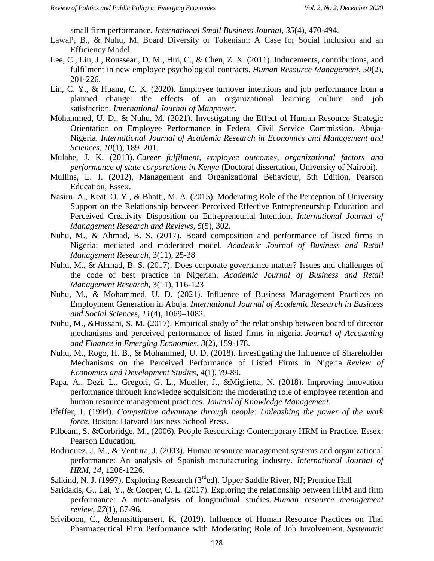small firm performance. *International Small Business Journal*, *35*(4), 470-494.

- Lawal<sup>1</sup>, B., & Nuhu, M. Board Diversity or Tokenism: A Case for Social Inclusion and an Efficiency Model.
- Lee, C., Liu, J., Rousseau, D. M., Hui, C., & Chen, Z. X. (2011). Inducements, contributions, and fulfilment in new employee psychological contracts. *Human Resource Management*, *50*(2), 201-226.
- Lin, C. Y., & Huang, C. K. (2020). Employee turnover intentions and job performance from a planned change: the effects of an organizational learning culture and job satisfaction. *International Journal of Manpower*.
- Mohammed, U. D., & Nuhu, M. (2021). Investigating the Effect of Human Resource Strategic Orientation on Employee Performance in Federal Civil Service Commission, Abuja-Nigeria. *International Journal of Academic Research in Economics and Management and Sciences*, *10*(1), 189–201.
- Mulabe, J. K. (2013). *Career fulfilment, employee outcomes, organizational factors and performance of state corporations in Kenya* (Doctoral dissertation, University of Nairobi).
- Mullins, L. J. (2012), Management and Organizational Behaviour, 5th Edition, Pearson Education, Essex.
- Nasiru, A., Keat, O. Y., & Bhatti, M. A. (2015). Moderating Role of the Perception of University Support on the Relationship between Perceived Effective Entrepreneurship Education and Perceived Creativity Disposition on Entrepreneurial Intention. *International Journal of Management Research and Reviews*, *5*(5), 302.
- Nuhu, M., & Ahmad, B. S. (2017). Board composition and performance of listed firms in Nigeria: mediated and moderated model. *Academic Journal of Business and Retail Management Research,* 3(11), 25-38
- Nuhu, M., & Ahmad, B. S. (2017). Does corporate governance matter? Issues and challenges of the code of best practice in Nigerian. *Academic Journal of Business and Retail Management Research,* 3(11), 116-123
- Nuhu, M., & Mohammed, U. D. (2021). Influence of Business Management Practices on Employment Generation in Abuja. *International Journal of Academic Research in Business and Social Sciences*, *11*(4), 1069–1082.
- Nuhu, M., &Hussani, S. M. (2017). Empirical study of the relationship between board of director mechanisms and perceived performance of listed firms in nigeria. *Journal of Accounting and Finance in Emerging Economies*, *3*(2), 159-178.
- Nuhu, M., Rogo, H. B., & Mohammed, U. D. (2018). Investigating the Influence of Shareholder Mechanisms on the Perceived Performance of Listed Firms in Nigeria. *Review of Economics and Development Studies*, *4*(1), 79-89.
- Papa, A., Dezi, L., Gregori, G. L., Mueller, J., &Miglietta, N. (2018). Improving innovation performance through knowledge acquisition: the moderating role of employee retention and human resource management practices. *Journal of Knowledge Management*.
- Pfeffer, J. (1994). *Competitive advantage through people: Unleashing the power of the work force*. Boston: Harvard Business School Press.
- Pilbeam, S. &Corbridge, M., (2006), People Resourcing: Contemporary HRM in Practice. Essex: Pearson Education.
- Rodriquez, J. M., & Ventura, J. (2003). Human resource management systems and organizational performance: An analysis of Spanish manufacturing industry. *International Journal of HRM, 14,* 1206-1226.
- Salkind, N. J. (1997). Exploring Research ( $3<sup>rd</sup>$ ed). Upper Saddle River, NJ; Prentice Hall
- Saridakis, G., Lai, Y., & Cooper, C. L. (2017). Exploring the relationship between HRM and firm performance: A meta-analysis of longitudinal studies. *Human resource management review*, *27*(1), 87-96.
- Sriviboon, C., &Jermsittiparsert, K. (2019). Influence of Human Resource Practices on Thai Pharmaceutical Firm Performance with Moderating Role of Job Involvement. *Systematic*